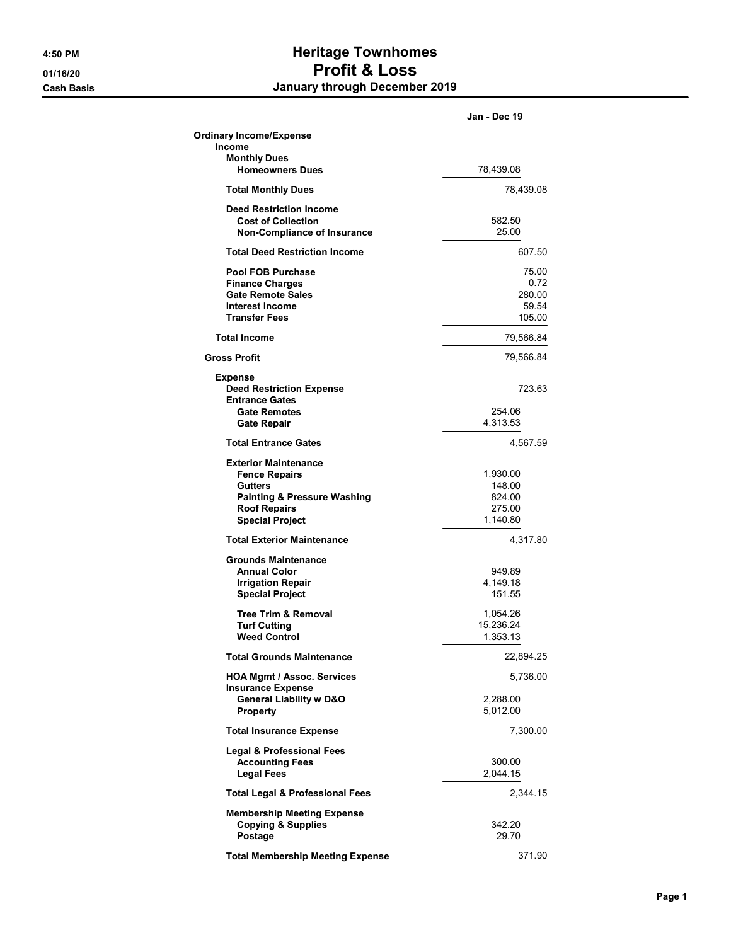## 4:50 PM **Heritage Townhomes** 01/16/20 Profit & Loss Cash Basis January through December 2019

|                                                                                                   | Jan - Dec 19         |
|---------------------------------------------------------------------------------------------------|----------------------|
| <b>Ordinary Income/Expense</b>                                                                    |                      |
| <b>Income</b>                                                                                     |                      |
| <b>Monthly Dues</b><br><b>Homeowners Dues</b>                                                     | 78,439.08            |
| <b>Total Monthly Dues</b>                                                                         | 78,439.08            |
| <b>Deed Restriction Income</b><br><b>Cost of Collection</b><br><b>Non-Compliance of Insurance</b> | 582.50<br>25.00      |
| <b>Total Deed Restriction Income</b>                                                              | 607.50               |
| <b>Pool FOB Purchase</b>                                                                          | 75.00                |
| <b>Finance Charges</b>                                                                            | 0.72                 |
| <b>Gate Remote Sales</b>                                                                          | 280.00               |
| <b>Interest Income</b>                                                                            | 59.54                |
| <b>Transfer Fees</b>                                                                              | 105.00               |
| <b>Total Income</b>                                                                               | 79,566.84            |
| <b>Gross Profit</b>                                                                               | 79,566.84            |
| <b>Expense</b><br><b>Deed Restriction Expense</b><br><b>Entrance Gates</b>                        | 723.63               |
| <b>Gate Remotes</b>                                                                               | 254.06               |
| <b>Gate Repair</b>                                                                                | 4,313.53             |
| <b>Total Entrance Gates</b>                                                                       | 4,567.59             |
| <b>Exterior Maintenance</b>                                                                       |                      |
| <b>Fence Repairs</b>                                                                              | 1,930.00             |
| <b>Gutters</b>                                                                                    | 148.00               |
| <b>Painting &amp; Pressure Washing</b>                                                            | 824.00               |
| <b>Roof Repairs</b><br><b>Special Project</b>                                                     | 275.00<br>1,140.80   |
| <b>Total Exterior Maintenance</b>                                                                 | 4,317.80             |
|                                                                                                   |                      |
| Grounds Maintenance                                                                               |                      |
| <b>Annual Color</b><br><b>Irrigation Repair</b>                                                   | 949.89<br>4,149.18   |
| <b>Special Project</b>                                                                            | 151.55               |
| <b>Tree Trim &amp; Removal</b>                                                                    | 1,054.26             |
| <b>Turf Cutting</b>                                                                               | 15,236.24            |
| <b>Weed Control</b>                                                                               | 1,353.13             |
| <b>Total Grounds Maintenance</b>                                                                  | 22,894.25            |
| <b>HOA Mgmt / Assoc. Services</b><br><b>Insurance Expense</b>                                     | 5,736.00             |
| <b>General Liability w D&amp;O</b><br><b>Property</b>                                             | 2,288.00<br>5,012.00 |
| <b>Total Insurance Expense</b>                                                                    | 7,300.00             |
| <b>Legal &amp; Professional Fees</b><br><b>Accounting Fees</b><br><b>Legal Fees</b>               | 300.00<br>2,044.15   |
| <b>Total Legal &amp; Professional Fees</b>                                                        | 2,344.15             |
| <b>Membership Meeting Expense</b><br><b>Copying &amp; Supplies</b><br>Postage                     | 342.20<br>29.70      |
|                                                                                                   |                      |
| <b>Total Membership Meeting Expense</b>                                                           | 371.90               |